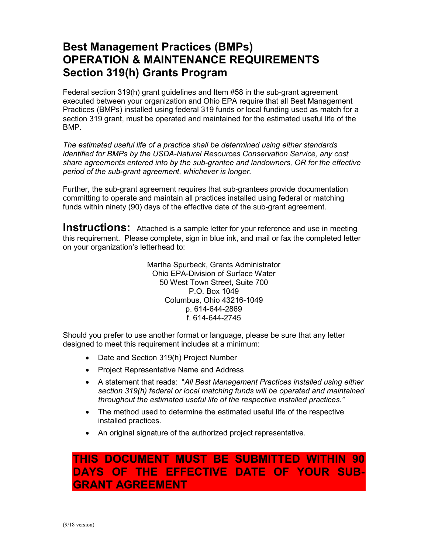## **Best Management Practices (BMPs) OPERATION & MAINTENANCE REQUIREMENTS Section 319(h) Grants Program**

Federal section 319(h) grant guidelines and Item #58 in the sub-grant agreement executed between your organization and Ohio EPA require that all Best Management Practices (BMPs) installed using federal 319 funds or local funding used as match for a section 319 grant, must be operated and maintained for the estimated useful life of the BMP.

*The estimated useful life of a practice shall be determined using either standards identified for BMPs by the USDA-Natural Resources Conservation Service, any cost share agreements entered into by the sub-grantee and landowners, OR for the effective period of the sub-grant agreement, whichever is longer.*

Further, the sub-grant agreement requires that sub-grantees provide documentation committing to operate and maintain all practices installed using federal or matching funds within ninety (90) days of the effective date of the sub-grant agreement.

**Instructions:** Attached is a sample letter for your reference and use in meeting this requirement. Please complete, sign in blue ink, and mail or fax the completed letter on your organization's letterhead to:

> Martha Spurbeck, Grants Administrator Ohio EPA-Division of Surface Water 50 West Town Street, Suite 700 P.O. Box 1049 Columbus, Ohio 43216-1049 p. 614-644-2869 f. 614-644-2745

Should you prefer to use another format or language, please be sure that any letter designed to meet this requirement includes at a minimum:

- Date and Section 319(h) Project Number
- Project Representative Name and Address
- A statement that reads: "*All Best Management Practices installed using either section 319(h) federal or local matching funds will be operated and maintained throughout the estimated useful life of the respective installed practices."*
- The method used to determine the estimated useful life of the respective installed practices.
- An original signature of the authorized project representative.

### **THIS DOCUMENT MUST BE SUBMITTED WITHIN 90 DAYS OF THE EFFECTIVE DATE OF YOUR SUB-GRANT AGREEMENT**